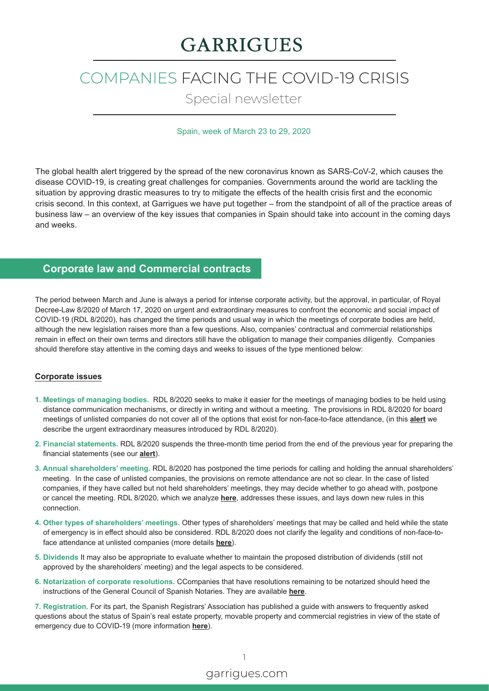# **GARRIGUES**

# COMPANIES FACING THE COVID-19 CRISIS

Special newsletter

### Spain, week of March 23 to 29, 2020

The global health alert triggered by the spread of the new coronavirus known as SARS-CoV-2, which causes the disease COVID-19, is creating great challenges for companies. Governments around the world are tackling the situation by approving drastic measures to try to mitigate the effects of the health crisis first and the economic crisis second. In this context, at Garrigues we have put together – from the standpoint of all of the practice areas of business law – an overview of the key issues that companies in Spain should take into account in the coming days and weeks.

# **Corporate law and Commercial contracts**

The period between March and June is always a period for intense corporate activity, but the approval, in particular, of Royal Decree-Law 8/2020 of March 17, 2020 on urgent and extraordinary measures to confront the economic and social impact of COVID-19 (RDL 8/2020), has changed the time periods and usual way in which the meetings of corporate bodies are held, although the new legislation raises more than a few questions. Also, companies' contractual and commercial relationships remain in effect on their own terms and directors still have the obligation to manage their companies diligently. Companies should therefore stay attentive in the coming days and weeks to issues of the type mentioned below:

#### **Corporate issues**

- **1. Meetings of managing bodies.** RDL 8/2020 seeks to make it easier for the meetings of managing bodies to be held using distance communication mechanisms, or directly in writing and without a meeting. The provisions in RDL 8/2020 for board meetings of unlisted companies do not cover all of the options that exist for non-face-to-face attendance, (in this **[alert](https://www.garrigues.com/en_GB/new/spain-royal-decree-law-82020-march-17-2020-launches-urgent-and-extraordinary-measures-confront)** we describe the urgent extraordinary measures introduced by RDL 8/2020).
- **2. Financial statements.** RDL 8/2020 suspends the three-month time period from the end of the previous year for preparing the financial statements (see our **[alert](https://www.garrigues.com/en_GB/new/spain-royal-decree-law-82020-march-17-2020-launches-urgent-and-extraordinary-measures-confront)**).
- **3. Annual shareholders' meeting.** RDL 8/2020 has postponed the time periods for calling and holding the annual shareholders' meeting. In the case of unlisted companies, the provisions on remote attendance are not so clear. In the case of listed companies, if they have called but not held shareholders' meetings, they may decide whether to go ahead with, postpone or cancel the meeting. RDL 8/2020, which we analyze **[here](https://www.garrigues.com/en_GB/new/spain-royal-decree-law-82020-march-17-2020-launches-urgent-and-extraordinary-measures-confront)**, addresses these issues, and lays down new rules in this connection.
- **4. Other types of shareholders' meetings.** Other types of shareholders' meetings that may be called and held while the state of emergency is in effect should also be considered. RDL 8/2020 does not clarify the legality and conditions of non-face-toface attendance at unlisted companies (more details **[here](https://www.garrigues.com/en_GB/new/spain-royal-decree-law-82020-march-17-2020-launches-urgent-and-extraordinary-measures-confront)**).
- **5. Dividends** It may also be appropriate to evaluate whether to maintain the proposed distribution of dividends (still not approved by the shareholders' meeting) and the legal aspects to be considered.
- **6. Notarization of corporate resolutions.** CCompanies that have resolutions remaining to be notarized should heed the instructions of the General Council of Spanish Notaries. They are available **[here](https://www.garrigues.com/es_ES/noticia/covid-19-el-consejo-general-del-notariado-aclara-los-casos-en-los-que-actuaran-los-notarios)**.

**7. Registration.** For its part, the Spanish Registrars' Association has published a guide with answers to frequently asked questions about the status of Spain's real estate property, movable property and commercial registries in view of the state of emergency due to COVID-19 (more information **[here](https://www.garrigues.com/es_ES/noticia/covid-19-el-colegio-de-registradores-publica-una-guia-sobre-la-situacion-de-los-registros)**).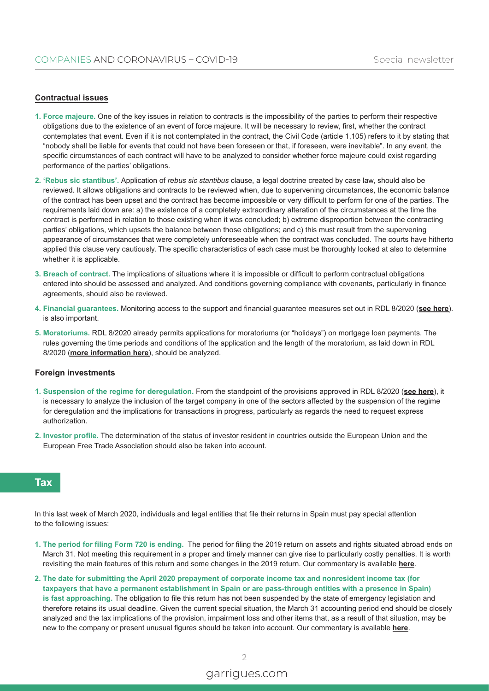#### **Contractual issues**

- **1. Force majeure.** One of the key issues in relation to contracts is the impossibility of the parties to perform their respective obligations due to the existence of an event of force majeure. It will be necessary to review, first, whether the contract contemplates that event. Even if it is not contemplated in the contract, the Civil Code (article 1,105) refers to it by stating that "nobody shall be liable for events that could not have been foreseen or that, if foreseen, were inevitable". In any event, the specific circumstances of each contract will have to be analyzed to consider whether force majeure could exist regarding performance of the parties' obligations.
- **2. 'Rebus sic stantibus'.** Application of *rebus sic stantibus* clause, a legal doctrine created by case law, should also be reviewed. It allows obligations and contracts to be reviewed when, due to supervening circumstances, the economic balance of the contract has been upset and the contract has become impossible or very difficult to perform for one of the parties. The requirements laid down are: a) the existence of a completely extraordinary alteration of the circumstances at the time the contract is performed in relation to those existing when it was concluded; b) extreme disproportion between the contracting parties' obligations, which upsets the balance between those obligations; and c) this must result from the supervening appearance of circumstances that were completely unforeseeable when the contract was concluded. The courts have hitherto applied this clause very cautiously. The specific characteristics of each case must be thoroughly looked at also to determine whether it is applicable.
- **3. Breach of contract.** The implications of situations where it is impossible or difficult to perform contractual obligations entered into should be assessed and analyzed. And conditions governing compliance with covenants, particularly in finance agreements, should also be reviewed.
- **4. Financial guarantees.** Monitoring access to the support and financial guarantee measures set out in RDL 8/2020 (**[see here](https://www.garrigues.com/en_GB/new/spain-royal-decree-law-82020-march-17-2020-launches-urgent-and-extraordinary-measures-confront)**). is also important.
- **5. Moratoriums.** RDL 8/2020 already permits applications for moratoriums (or "holidays") on mortgage loan payments. The rules governing the time periods and conditions of the application and the length of the moratorium, as laid down in RDL 8/2020 (**[more information here](https://www.garrigues.com/en_GB/new/spain-royal-decree-law-82020-march-17-2020-launches-urgent-and-extraordinary-measures-confront)**), should be analyzed.

#### **Foreign investments**

- **1. Suspension of the regime for deregulation.** From the standpoint of the provisions approved in RDL 8/2020 (**[see here](https://www.garrigues.com/en_GB/new/spain-royal-decree-law-82020-march-17-2020-launches-urgent-and-extraordinary-measures-confront)**), it is necessary to analyze the inclusion of the target company in one of the sectors affected by the suspension of the regime for deregulation and the implications for transactions in progress, particularly as regards the need to request express authorization.
- **2. Investor profile.** The determination of the status of investor resident in countries outside the European Union and the European Free Trade Association should also be taken into account.

## **Tax**

In this last week of March 2020, individuals and legal entities that file their returns in Spain must pay special attention to the following issues:

- **1. The period for filing Form 720 is ending.** The period for filing the 2019 return on assets and rights situated abroad ends on March 31. Not meeting this requirement in a proper and timely manner can give rise to particularly costly penalties. It is worth revisiting the main features of this return and some changes in the 2019 return. Our commentary is available **[here](https://www.garrigues.com/en_GB/new/covid-19-does-not-suspend-deadline-filing-form-720)**.
- **2. The date for submitting the April 2020 prepayment of corporate income tax and nonresident income tax (for taxpayers that have a permanent establishment in Spain or are pass-through entities with a presence in Spain) is fast approaching.** The obligation to file this return has not been suspended by the state of emergency legislation and therefore retains its usual deadline. Given the current special situation, the March 31 accounting period end should be closely analyzed and the tax implications of the provision, impairment loss and other items that, as a result of that situation, may be new to the company or present unusual figures should be taken into account. Our commentary is available **[here](https://www.garrigues.com/en_GB/new/deadline-file-prepayment-corporate-income-tax-and-non-resident-income-tax-drawing-nearer)**.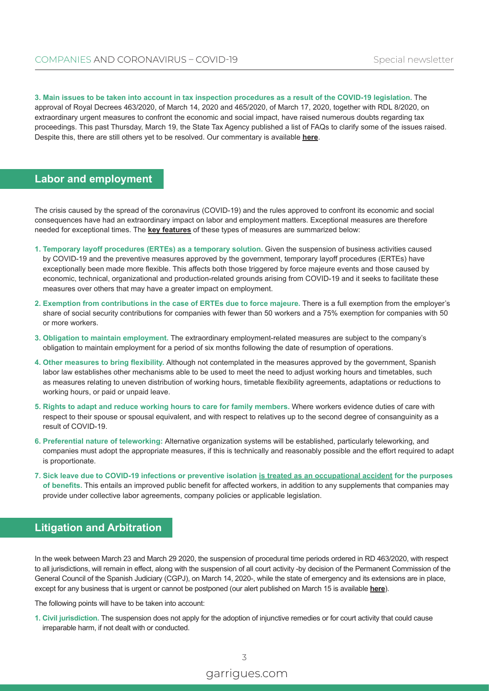**3. Main issues to be taken into account in tax inspection procedures as a result of the COVID-19 legislation.** The approval of Royal Decrees 463/2020, of March 14, 2020 and 465/2020, of March 17, 2020, together with RDL 8/2020, on extraordinary urgent measures to confront the economic and social impact, have raised numerous doubts regarding tax proceedings. This past Thursday, March 19, the State Tax Agency published a list of FAQs to clarify some of the issues raised. Despite this, there are still others yet to be resolved. Our commentary is available **[here](https://www.garrigues.com/en_GB/new/covid-19-legislative-measures-adopted-and-their-effects-tax-proceedings-general-and-review)**.

## **Labor and employment**

The crisis caused by the spread of the coronavirus (COVID-19) and the rules approved to confront its economic and social consequences have had an extraordinary impact on labor and employment matters. Exceptional measures are therefore needed for exceptional times. The **[key features](https://www.garrigues.com/en_GB/new/spain-royal-decree-law-82020-march-17-2020-launches-urgent-and-extraordinary-measures-confront)** of these types of measures are summarized below:

- **1. Temporary layoff procedures (ERTEs) as a temporary solution.** Given the suspension of business activities caused by COVID-19 and the preventive measures approved by the government, temporary layoff procedures (ERTEs) have exceptionally been made more flexible. This affects both those triggered by force majeure events and those caused by economic, technical, organizational and production-related grounds arising from COVID-19 and it seeks to facilitate these measures over others that may have a greater impact on employment.
- **2. Exemption from contributions in the case of ERTEs due to force majeure.** There is a full exemption from the employer's share of social security contributions for companies with fewer than 50 workers and a 75% exemption for companies with 50 or more workers.
- **3. Obligation to maintain employment.** The extraordinary employment-related measures are subject to the company's obligation to maintain employment for a period of six months following the date of resumption of operations.
- **4. Other measures to bring flexibility.** Although not contemplated in the measures approved by the government, Spanish labor law establishes other mechanisms able to be used to meet the need to adjust working hours and timetables, such as measures relating to uneven distribution of working hours, timetable flexibility agreements, adaptations or reductions to working hours, or paid or unpaid leave.
- **5. Rights to adapt and reduce working hours to care for family members.** Where workers evidence duties of care with respect to their spouse or spousal equivalent, and with respect to relatives up to the second degree of consanguinity as a result of COVID-19.
- **6. Preferential nature of teleworking:** Alternative organization systems will be established, particularly teleworking, and companies must adopt the appropriate measures, if this is technically and reasonably possible and the effort required to adapt is proportionate.
- **7. Sick leave due to COVID-19 infections or preventive isolation is treated as an occupational accident for the purposes of benefits.** This entails an improved public benefit for affected workers, in addition to any supplements that companies may provide under collective labor agreements, company policies or applicable legislation.

# **Litigation and Arbitration**

In the week between March 23 and March 29 2020, the suspension of procedural time periods ordered in RD 463/2020, with respect to all jurisdictions, will remain in effect, along with the suspension of all court activity -by decision of the Permanent Commission of the General Council of the Spanish Judiciary (CGPJ), on March 14, 2020-, while the state of emergency and its extensions are in place, except for any business that is urgent or cannot be postponed (our alert published on March 15 is available **[here](https://www.garrigues.com/en_GB/new/covid-19-royal-decree-declaring-situation-emergency-published)**).

The following points will have to be taken into account:

**1. Civil jurisdiction.** The suspension does not apply for the adoption of injunctive remedies or for court activity that could cause irreparable harm, if not dealt with or conducted.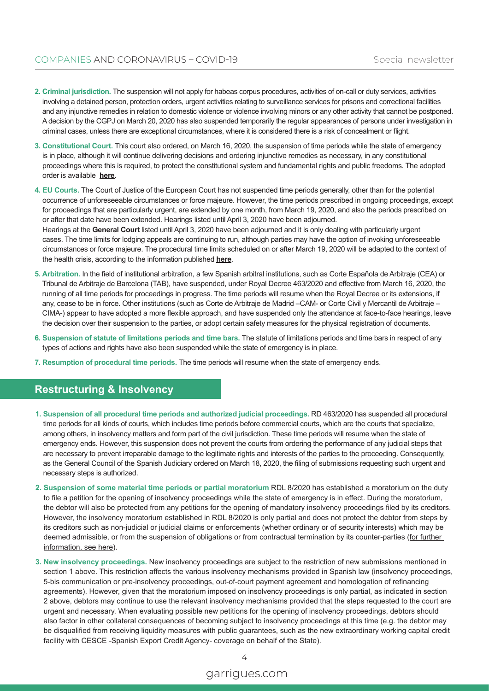- **2. Criminal jurisdiction.** The suspension will not apply for habeas corpus procedures, activities of on-call or duty services, activities involving a detained person, protection orders, urgent activities relating to surveillance services for prisons and correctional facilities and any injunctive remedies in relation to domestic violence or violence involving minors or any other activity that cannot be postponed. A decision by the CGPJ on March 20, 2020 has also suspended temporarily the regular appearances of persons under investigation in criminal cases, unless there are exceptional circumstances, where it is considered there is a risk of concealment or flight.
- **3. Constitutional Court.** This court also ordered, on March 16, 2020, the suspension of time periods while the state of emergency is in place, although it will continue delivering decisions and ordering injunctive remedies as necessary, in any constitutional proceedings where this is required, to protect the constitutional system and fundamental rights and public freedoms. The adopted order is available **[here](http://www.tribunalconstitucional.es/es/tribunal/normativa/Normativa/BOE-A-2020-3805.pdf)**.
- **4. EU Courts.** The Court of Justice of the European Court has not suspended time periods generally, other than for the potential occurrence of unforeseeable circumstances or force majeure. However, the time periods prescribed in ongoing proceedings, except for proceedings that are particularly urgent, are extended by one month, from March 19, 2020, and also the periods prescribed on or after that date have been extended. Hearings listed until April 3, 2020 have been adjourned. Hearings at the **General Court** listed until April 3, 2020 have been adjourned and it is only dealing with particularly urgent cases. The time limits for lodging appeals are continuing to run, although parties may have the option of invoking unforeseeable circumstances or force majeure. The procedural time limits scheduled on or after March 19, 2020 will be adapted to the context of the health crisis, according to the information published **[here](https://curia.europa.eu/jcms/jcms/P_97552/es/)**.
- **5. Arbitration.** In the field of institutional arbitration, a few Spanish arbitral institutions, such as Corte Española de Arbitraje (CEA) or Tribunal de Arbitraje de Barcelona (TAB), have suspended, under Royal Decree 463/2020 and effective from March 16, 2020, the running of all time periods for proceedings in progress. The time periods will resume when the Royal Decree or its extensions, if any, cease to be in force. Other institutions (such as Corte de Arbitraje de Madrid –CAM- or Corte Civil y Mercantil de Arbitraje – CIMA-) appear to have adopted a more flexible approach, and have suspended only the attendance at face-to-face hearings, leave the decision over their suspension to the parties, or adopt certain safety measures for the physical registration of documents.
- **6. Suspension of statute of limitations periods and time bars.** The statute of limitations periods and time bars in respect of any types of actions and rights have also been suspended while the state of emergency is in place.
- **7. Resumption of procedural time periods.** The time periods will resume when the state of emergency ends.

## **Restructuring & Insolvency**

- **1. Suspension of all procedural time periods and authorized judicial proceedings.** RD 463/2020 has suspended all procedural time periods for all kinds of courts, which includes time periods before commercial courts, which are the courts that specialize, among others, in insolvency matters and form part of the civil jurisdiction. These time periods will resume when the state of emergency ends. However, this suspension does not prevent the courts from ordering the performance of any judicial steps that are necessary to prevent irreparable damage to the legitimate rights and interests of the parties to the proceeding. Consequently, as the General Council of the Spanish Judiciary ordered on March 18, 2020, the filing of submissions requesting such urgent and necessary steps is authorized.
- **2. Suspension of some material time periods or partial moratorium** RDL 8/2020 has established a moratorium on the duty to file a petition for the opening of insolvency proceedings while the state of emergency is in effect. During the moratorium, the debtor will also be protected from any petitions for the opening of mandatory insolvency proceedings filed by its creditors. However, the insolvency moratorium established in RDL 8/2020 is only partial and does not protect the debtor from steps by its creditors such as non-judicial or judicial claims or enforcements (whether ordinary or of security interests) which may be deemed admissible, or from the suspension of obligations or from contractual termination by its counter-parties ([for further](https://www.garrigues.com/en_GB/new/spain-royal-decree-law-82020-march-17-2020-launches-urgent-and-extraordinary-measures-confront)  [information, see here\)](https://www.garrigues.com/en_GB/new/spain-royal-decree-law-82020-march-17-2020-launches-urgent-and-extraordinary-measures-confront).
- **3. New insolvency proceedings.** New insolvency proceedings are subject to the restriction of new submissions mentioned in section 1 above. This restriction affects the various insolvency mechanisms provided in Spanish law (insolvency proceedings, 5-bis communication or pre-insolvency proceedings, out-of-court payment agreement and homologation of refinancing agreements). However, given that the moratorium imposed on insolvency proceedings is only partial, as indicated in section 2 above, debtors may continue to use the relevant insolvency mechanisms provided that the steps requested to the court are urgent and necessary. When evaluating possible new petitions for the opening of insolvency proceedings, debtors should also factor in other collateral consequences of becoming subject to insolvency proceedings at this time (e.g. the debtor may be disqualified from receiving liquidity measures with public guarantees, such as the new extraordinary working capital credit facility with CESCE -Spanish Export Credit Agency- coverage on behalf of the State).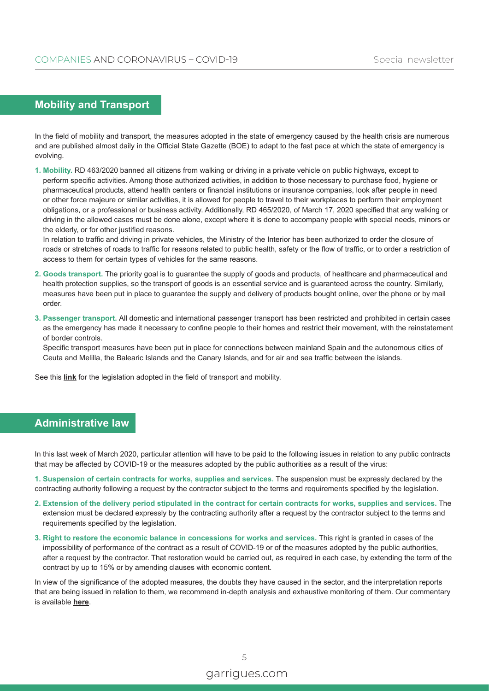# **Mobility and Transport**

In the field of mobility and transport, the measures adopted in the state of emergency caused by the health crisis are numerous and are published almost daily in the Official State Gazette (BOE) to adapt to the fast pace at which the state of emergency is evolving.

**1. Mobility.** RD 463/2020 banned all citizens from walking or driving in a private vehicle on public highways, except to perform specific activities. Among those authorized activities, in addition to those necessary to purchase food, hygiene or pharmaceutical products, attend health centers or financial institutions or insurance companies, look after people in need or other force majeure or similar activities, it is allowed for people to travel to their workplaces to perform their employment obligations, or a professional or business activity. Additionally, RD 465/2020, of March 17, 2020 specified that any walking or driving in the allowed cases must be done alone, except where it is done to accompany people with special needs, minors or the elderly, or for other justified reasons.

In relation to traffic and driving in private vehicles, the Ministry of the Interior has been authorized to order the closure of roads or stretches of roads to traffic for reasons related to public health, safety or the flow of traffic, or to order a restriction of access to them for certain types of vehicles for the same reasons.

- **2. Goods transport.** The priority goal is to guarantee the supply of goods and products, of healthcare and pharmaceutical and health protection supplies, so the transport of goods is an essential service and is guaranteed across the country. Similarly, measures have been put in place to guarantee the supply and delivery of products bought online, over the phone or by mail order.
- **3. Passenger transport.** All domestic and international passenger transport has been restricted and prohibited in certain cases as the emergency has made it necessary to confine people to their homes and restrict their movement, with the reinstatement of border controls.

Specific transport measures have been put in place for connections between mainland Spain and the autonomous cities of Ceuta and Melilla, the Balearic Islands and the Canary Islands, and for air and sea traffic between the islands.

See this **[link](https://boe.es/biblioteca_juridica/codigos/codigo.php?id=355)** for the legislation adopted in the field of transport and mobility.

## **Administrative law**

In this last week of March 2020, particular attention will have to be paid to the following issues in relation to any public contracts that may be affected by COVID-19 or the measures adopted by the public authorities as a result of the virus:

**1. Suspension of certain contracts for works, supplies and services.** The suspension must be expressly declared by the contracting authority following a request by the contractor subject to the terms and requirements specified by the legislation.

- **2. Extension of the delivery period stipulated in the contract for certain contracts for works, supplies and services.** The extension must be declared expressly by the contracting authority after a request by the contractor subject to the terms and requirements specified by the legislation.
- **3. Right to restore the economic balance in concessions for works and services.** This right is granted in cases of the impossibility of performance of the contract as a result of COVID-19 or of the measures adopted by the public authorities, after a request by the contractor. That restoration would be carried out, as required in each case, by extending the term of the contract by up to 15% or by amending clauses with economic content.

In view of the significance of the adopted measures, the doubts they have caused in the sector, and the interpretation reports that are being issued in relation to them, we recommend in-depth analysis and exhaustive monitoring of them. Our commentary is available **[here](https://www.garrigues.com/en_GB/new/covid-19-public-procurement-measures-royal-decree-law-82020)**.